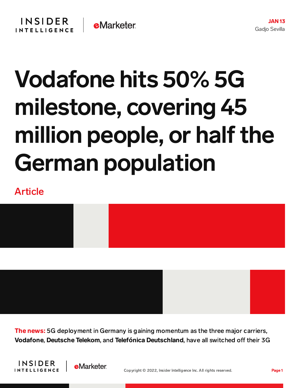## Vodafone hits 50% 5G milestone, covering 45 million people, or half the German population

## Article



**The news:** 5G deployment in Germany is gaining momentum as the three major carriers, Vodafone, Deutsche Telekom, and Telefónica Deutschland, have all switched off their 3G



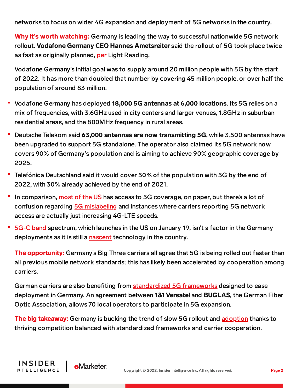networks to focus on wider 4G expansion and deployment of 5G networks in the country.

Why it**'**s worth watching: Germany is leading the way to successful nationwide 5G network rollout. Vodafone Germany CEO Hannes Ametsreiter said the rollout of 5G took place twice as fast as originally planned, [per](https://www.lightreading.com/5g/vodafone-germany-hits-50--5g-milestone/d/d-id/774540) Light Reading.

Vodafone Germany's initial goal was to supply around 20 million people with 5G by the start of 2022. It has more than doubled that number by covering 45 million people, or over half the population of around 83 million.

- Vodafone Germany has deployed 18,000 5G antennas at 6,000 locations. Its 5G relies on a mix of frequencies, with 3.6GHz used in city centers and larger venues, 1.8GHz in suburban residential areas, and the 800MHz frequency in rural areas.
- Deutsche Telekom said 63,000 antennas are now transmitting 5G, while 3,500 antennas have been upgraded to support 5G standalone. The operator also claimed its 5G network now covers 90% of Germany's population and is aiming to achieve 90% geographic coverage by 2025.
- Telefónica Deutschland said it would cover 50% of the population with 5G by the end of 2022, with 30% already achieved by the end of 2021.
- In comparison, [most](https://www.speedtest.net/ookla-5g-map) of the US has access to 5G coverage, on paper, but there's a lot of confusion regarding 5G [mislabeling](https://content-na2.emarketer.com/t-mobile-new-5guc-network-category-makes-already-confusing-5g-network-space-worse) and instances where carriers reporting 5G network access are actually just increasing 4G-LTE speeds.
- [5G-C](https://content-na2.emarketer.com/at-t-verizon-reject-faa-s-request-delay-5g-rollout-despite-potential-danger-aircraft) band spectrum, which launches in the US on January 19, isn't a factor in the Germany deployments as it is still a [nascent](https://www.fiercewireless.com/private-wireless/c-band-for-5g-private-wireless-takes-a-test-run-germany) technology in the country.

**The opportunity:** Germany's Big Three carriers all agree that 5G is being rolled out faster than all previous mobile network standards; this has likely been accelerated by cooperation among carriers.

German carriers are also benefiting from [standardized](https://www.totaltele.com/512028/Standardised-framework-agreements-ease-5G-deployment-in-Germany) 5G frameworks designed to ease deployment in Germany. An agreement between 1&1 Versatel and BUGLAS, the German Fiber Optic Association, allows 70 local operators to participate in 5G expansion.

The big takeaway: Germany is bucking the trend of slow 5G rollout and [adoption](https://www.thenationalnews.com/business/technology/2021/09/03/global-consumers-slow-to-adopt-5g-enabled-devices/) thanks to thriving competition balanced with standardized frameworks and carrier cooperation.

**INSIDER** 

**INTELLIGENCE** 

**e**Marketer